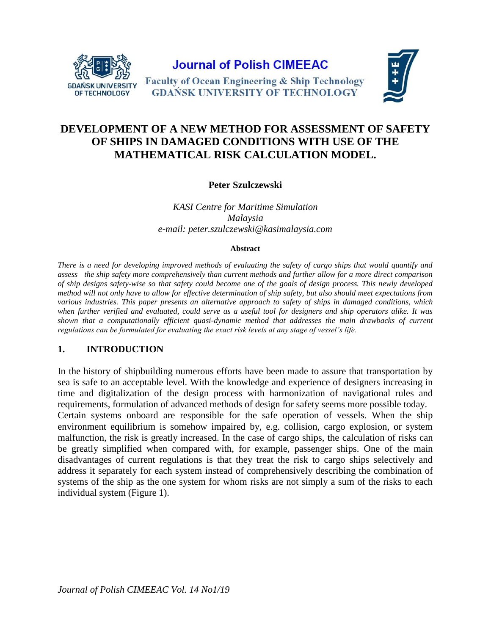

**Journal of Polish CIMEEAC** 

**Faculty of Ocean Engineering & Ship Technology GDAŃSK UNIVERSITY OF TECHNOLOGY** 



# **DEVELOPMENT OF A NEW METHOD FOR ASSESSMENT OF SAFETY OF SHIPS IN DAMAGED CONDITIONS WITH USE OF THE MATHEMATICAL RISK CALCULATION MODEL.**

**Peter Szulczewski**

*KASI Centre for Maritime Simulation Malaysia e-mail: peter.szulczewski@kasimalaysia.com*

#### **Abstract**

*There is a need for developing improved methods of evaluating the safety of cargo ships that would quantify and assess the ship safety more comprehensively than current methods and further allow for a more direct comparison of ship designs safety-wise so that safety could become one of the goals of design process. This newly developed method will not only have to allow for effective determination of ship safety, but also should meet expectations from various industries. This paper presents an alternative approach to safety of ships in damaged conditions, which when further verified and evaluated, could serve as a useful tool for designers and ship operators alike. It was shown that a computationally efficient quasi-dynamic method that addresses the main drawbacks of current regulations can be formulated for evaluating the exact risk levels at any stage of vessel's life.*

#### **1. INTRODUCTION**

In the history of shipbuilding numerous efforts have been made to assure that transportation by sea is safe to an acceptable level. With the knowledge and experience of designers increasing in time and digitalization of the design process with harmonization of navigational rules and requirements, formulation of advanced methods of design for safety seems more possible today.

Certain systems onboard are responsible for the safe operation of vessels. When the ship environment equilibrium is somehow impaired by, e.g. collision, cargo explosion, or system malfunction, the risk is greatly increased. In the case of cargo ships, the calculation of risks can be greatly simplified when compared with, for example, passenger ships. One of the main disadvantages of current regulations is that they treat the risk to cargo ships selectively and address it separately for each system instead of comprehensively describing the combination of systems of the ship as the one system for whom risks are not simply a sum of the risks to each individual system (Figure 1).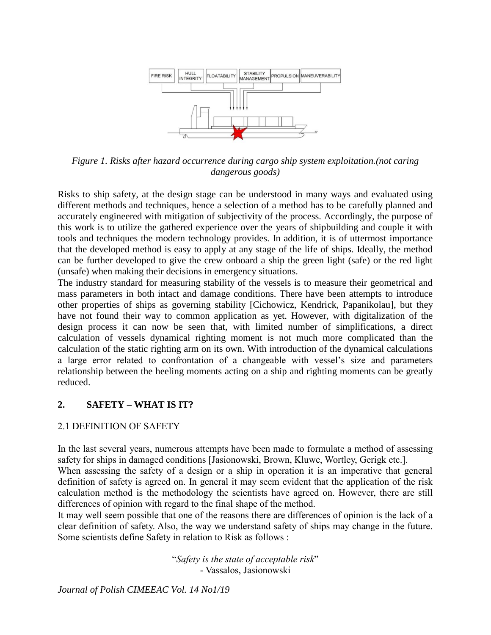

*Figure 1. Risks after hazard occurrence during cargo ship system exploitation.(not caring dangerous goods)*

Risks to ship safety, at the design stage can be understood in many ways and evaluated using different methods and techniques, hence a selection of a method has to be carefully planned and accurately engineered with mitigation of subjectivity of the process. Accordingly, the purpose of this work is to utilize the gathered experience over the years of shipbuilding and couple it with tools and techniques the modern technology provides. In addition, it is of uttermost importance that the developed method is easy to apply at any stage of the life of ships. Ideally, the method can be further developed to give the crew onboard a ship the green light (safe) or the red light (unsafe) when making their decisions in emergency situations.

The industry standard for measuring stability of the vessels is to measure their geometrical and mass parameters in both intact and damage conditions. There have been attempts to introduce other properties of ships as governing stability [Cichowicz, Kendrick, Papanikolau], but they have not found their way to common application as yet. However, with digitalization of the design process it can now be seen that, with limited number of simplifications, a direct calculation of vessels dynamical righting moment is not much more complicated than the calculation of the static righting arm on its own. With introduction of the dynamical calculations a large error related to confrontation of a changeable with vessel's size and parameters relationship between the heeling moments acting on a ship and righting moments can be greatly reduced.

# **2. SAFETY – WHAT IS IT?**

#### 2.1 DEFINITION OF SAFETY

In the last several years, numerous attempts have been made to formulate a method of assessing safety for ships in damaged conditions [Jasionowski, Brown, Kluwe, Wortley, Gerigk etc.].

When assessing the safety of a design or a ship in operation it is an imperative that general definition of safety is agreed on. In general it may seem evident that the application of the risk calculation method is the methodology the scientists have agreed on. However, there are still differences of opinion with regard to the final shape of the method.

It may well seem possible that one of the reasons there are differences of opinion is the lack of a clear definition of safety. Also, the way we understand safety of ships may change in the future. Some scientists define Safety in relation to Risk as follows :

> "*Safety is the state of acceptable risk*" - Vassalos, Jasionowski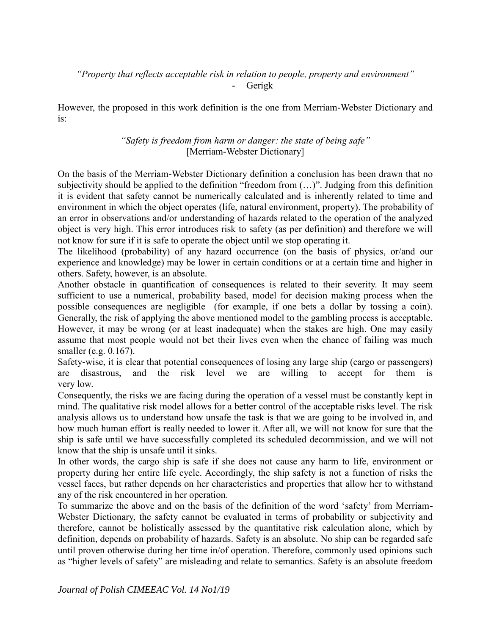### *"Property that reflects acceptable risk in relation to people, property and environment"* - Gerigk

However, the proposed in this work definition is the one from Merriam-Webster Dictionary and is:

# *"Safety is freedom from harm or danger: the state of being safe"* [Merriam-Webster Dictionary]

On the basis of the Merriam-Webster Dictionary definition a conclusion has been drawn that no subjectivity should be applied to the definition "freedom from (…)". Judging from this definition it is evident that safety cannot be numerically calculated and is inherently related to time and environment in which the object operates (life, natural environment, property). The probability of an error in observations and/or understanding of hazards related to the operation of the analyzed object is very high. This error introduces risk to safety (as per definition) and therefore we will not know for sure if it is safe to operate the object until we stop operating it.

The likelihood (probability) of any hazard occurrence (on the basis of physics, or/and our experience and knowledge) may be lower in certain conditions or at a certain time and higher in others. Safety, however, is an absolute.

Another obstacle in quantification of consequences is related to their severity. It may seem sufficient to use a numerical, probability based, model for decision making process when the possible consequences are negligible (for example, if one bets a dollar by tossing a coin). Generally, the risk of applying the above mentioned model to the gambling process is acceptable. However, it may be wrong (or at least inadequate) when the stakes are high. One may easily assume that most people would not bet their lives even when the chance of failing was much smaller (e.g. 0.167).

Safety-wise, it is clear that potential consequences of losing any large ship (cargo or passengers) are disastrous, and the risk level we are willing to accept for them is very low.

Consequently, the risks we are facing during the operation of a vessel must be constantly kept in mind. The qualitative risk model allows for a better control of the acceptable risks level. The risk analysis allows us to understand how unsafe the task is that we are going to be involved in, and how much human effort is really needed to lower it. After all, we will not know for sure that the ship is safe until we have successfully completed its scheduled decommission, and we will not know that the ship is unsafe until it sinks.

In other words, the cargo ship is safe if she does not cause any harm to life, environment or property during her entire life cycle. Accordingly, the ship safety is not a function of risks the vessel faces, but rather depends on her characteristics and properties that allow her to withstand any of the risk encountered in her operation.

To summarize the above and on the basis of the definition of the word 'safety' from Merriam-Webster Dictionary, the safety cannot be evaluated in terms of probability or subjectivity and therefore, cannot be holistically assessed by the quantitative risk calculation alone, which by definition, depends on probability of hazards. Safety is an absolute. No ship can be regarded safe until proven otherwise during her time in/of operation. Therefore, commonly used opinions such as "higher levels of safety" are misleading and relate to semantics. Safety is an absolute freedom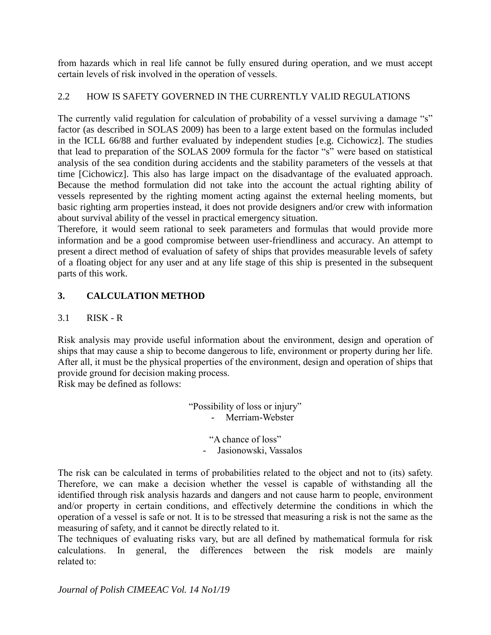from hazards which in real life cannot be fully ensured during operation, and we must accept certain levels of risk involved in the operation of vessels.

# 2.2 HOW IS SAFETY GOVERNED IN THE CURRENTLY VALID REGULATIONS

The currently valid regulation for calculation of probability of a vessel surviving a damage "s" factor (as described in SOLAS 2009) has been to a large extent based on the formulas included in the ICLL 66/88 and further evaluated by independent studies [e.g. Cichowicz]. The studies that lead to preparation of the SOLAS 2009 formula for the factor "s" were based on statistical analysis of the sea condition during accidents and the stability parameters of the vessels at that time [Cichowicz]. This also has large impact on the disadvantage of the evaluated approach. Because the method formulation did not take into the account the actual righting ability of vessels represented by the righting moment acting against the external heeling moments, but basic righting arm properties instead, it does not provide designers and/or crew with information about survival ability of the vessel in practical emergency situation.

Therefore, it would seem rational to seek parameters and formulas that would provide more information and be a good compromise between user-friendliness and accuracy. An attempt to present a direct method of evaluation of safety of ships that provides measurable levels of safety of a floating object for any user and at any life stage of this ship is presented in the subsequent parts of this work.

# **3. CALCULATION METHOD**

# 3.1 RISK - R

Risk analysis may provide useful information about the environment, design and operation of ships that may cause a ship to become dangerous to life, environment or property during her life. After all, it must be the physical properties of the environment, design and operation of ships that provide ground for decision making process.

Risk may be defined as follows:

"Possibility of loss or injury" - Merriam-Webster

> "A chance of loss" - Jasionowski, Vassalos

The risk can be calculated in terms of probabilities related to the object and not to (its) safety. Therefore, we can make a decision whether the vessel is capable of withstanding all the identified through risk analysis hazards and dangers and not cause harm to people, environment and/or property in certain conditions, and effectively determine the conditions in which the operation of a vessel is safe or not. It is to be stressed that measuring a risk is not the same as the measuring of safety, and it cannot be directly related to it.

The techniques of evaluating risks vary, but are all defined by mathematical formula for risk calculations. In general, the differences between the risk models are mainly related to: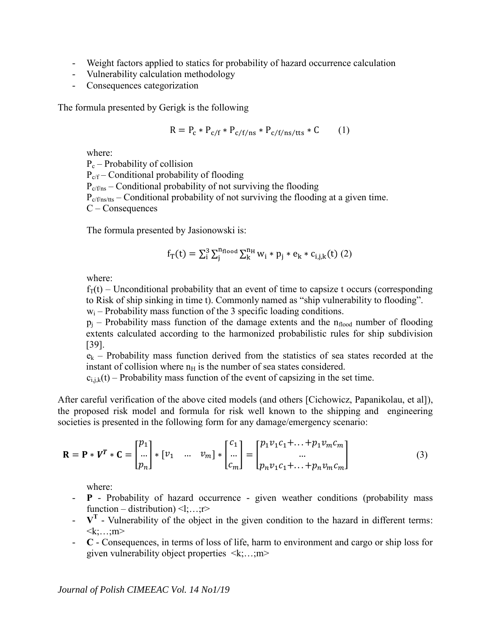- Weight factors applied to statics for probability of hazard occurrence calculation
- Vulnerability calculation methodology
- Consequences categorization

The formula presented by Gerigk is the following

$$
R = P_c * P_{c/f} * P_{c/f/ns} * P_{c/f(ns/tts} * C \qquad (1)
$$

where:

 $P_c$  – Probability of collision  $P_{cf}$  – Conditional probability of flooding  $P_{cf/ns}$  – Conditional probability of not surviving the flooding  $P_{cf/ns/tts}$  – Conditional probability of not surviving the flooding at a given time. C – Consequences

The formula presented by Jasionowski is:

$$
f_T(t) = \Sigma_i^3 \Sigma_j^{n_{\rm flood}} \Sigma_k^{n_{\rm H}} w_i * p_j * e_k * c_{i,j,k}(t) (2)
$$

where:

 $f_T(t)$  – Unconditional probability that an event of time to capsize t occurs (corresponding to Risk of ship sinking in time t). Commonly named as "ship vulnerability to flooding".

 $w_i$  – Probability mass function of the 3 specific loading conditions.

 $p_i$  – Probability mass function of the damage extents and the  $n_{\text{float}}$  number of flooding extents calculated according to the harmonized probabilistic rules for ship subdivision [39].

 $e_k$  – Probability mass function derived from the statistics of sea states recorded at the instant of collision where  $n_H$  is the number of sea states considered.

 $c_{i, j,k}(t)$  – Probability mass function of the event of capsizing in the set time.

After careful verification of the above cited models (and others [Cichowicz, Papanikolau, et al]), the proposed risk model and formula for risk well known to the shipping and engineering societies is presented in the following form for any damage/emergency scenario:

$$
\mathbf{R} = \mathbf{P} * \mathbf{V}^T * \mathbf{C} = \begin{bmatrix} p_1 \\ \dots \\ p_n \end{bmatrix} * [v_1 \quad \dots \quad v_m] * \begin{bmatrix} c_1 \\ \dots \\ c_m \end{bmatrix} = \begin{bmatrix} p_1 v_1 c_1 + \dots + p_1 v_m c_m \\ \dots \\ p_n v_1 c_1 + \dots + p_n v_m c_m \end{bmatrix}
$$
(3)

where:

- **P** Probability of hazard occurrence given weather conditions (probability mass function – distribution)  $\leq l$ ;...;r>
- $V^T$  Vulnerability of the object in the given condition to the hazard in different terms:  $\langle k; \ldots; m \rangle$
- **C** Consequences, in terms of loss of life, harm to environment and cargo or ship loss for given vulnerability object properties <k;…;m>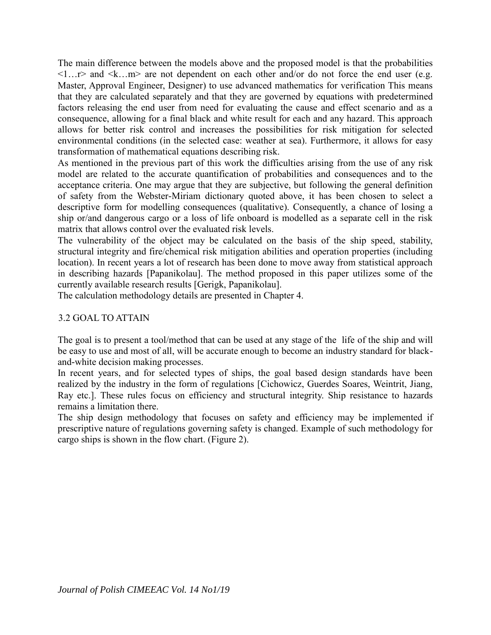The main difference between the models above and the proposed model is that the probabilities  $\langle 1...r \rangle$  and  $\langle k...m \rangle$  are not dependent on each other and/or do not force the end user (e.g. Master, Approval Engineer, Designer) to use advanced mathematics for verification This means that they are calculated separately and that they are governed by equations with predetermined factors releasing the end user from need for evaluating the cause and effect scenario and as a consequence, allowing for a final black and white result for each and any hazard. This approach allows for better risk control and increases the possibilities for risk mitigation for selected environmental conditions (in the selected case: weather at sea). Furthermore, it allows for easy transformation of mathematical equations describing risk.

As mentioned in the previous part of this work the difficulties arising from the use of any risk model are related to the accurate quantification of probabilities and consequences and to the acceptance criteria. One may argue that they are subjective, but following the general definition of safety from the Webster-Miriam dictionary quoted above, it has been chosen to select a descriptive form for modelling consequences (qualitative). Consequently, a chance of losing a ship or/and dangerous cargo or a loss of life onboard is modelled as a separate cell in the risk matrix that allows control over the evaluated risk levels.

The vulnerability of the object may be calculated on the basis of the ship speed, stability, structural integrity and fire/chemical risk mitigation abilities and operation properties (including location). In recent years a lot of research has been done to move away from statistical approach in describing hazards [Papanikolau]. The method proposed in this paper utilizes some of the currently available research results [Gerigk, Papanikolau].

The calculation methodology details are presented in Chapter 4.

# 3.2 GOAL TO ATTAIN

The goal is to present a tool/method that can be used at any stage of the life of the ship and will be easy to use and most of all, will be accurate enough to become an industry standard for blackand-white decision making processes.

In recent years, and for selected types of ships, the goal based design standards have been realized by the industry in the form of regulations [Cichowicz, Guerdes Soares, Weintrit, Jiang, Ray etc.]. These rules focus on efficiency and structural integrity. Ship resistance to hazards remains a limitation there.

The ship design methodology that focuses on safety and efficiency may be implemented if prescriptive nature of regulations governing safety is changed. Example of such methodology for cargo ships is shown in the flow chart. (Figure 2).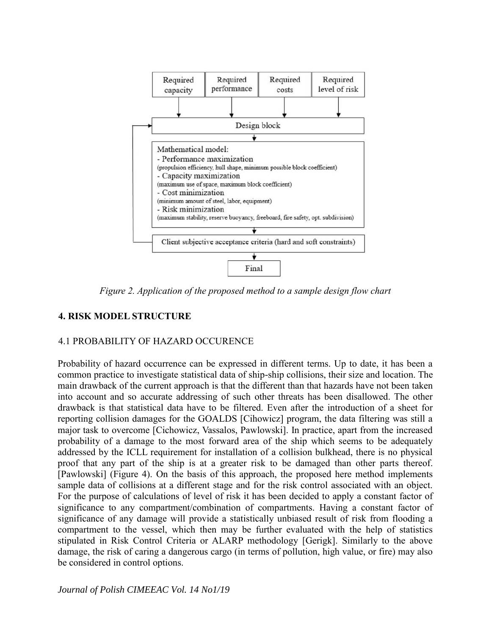

*Figure 2. Application of the proposed method to a sample design flow chart* 

# **4. RISK MODEL STRUCTURE**

#### 4.1 PROBABILITY OF HAZARD OCCURENCE

Probability of hazard occurrence can be expressed in different terms. Up to date, it has been a common practice to investigate statistical data of ship-ship collisions, their size and location. The main drawback of the current approach is that the different than that hazards have not been taken into account and so accurate addressing of such other threats has been disallowed. The other drawback is that statistical data have to be filtered. Even after the introduction of a sheet for reporting collision damages for the GOALDS [Cihowicz] program, the data filtering was still a major task to overcome [Cichowicz, Vassalos, Pawlowski]. In practice, apart from the increased probability of a damage to the most forward area of the ship which seems to be adequately addressed by the ICLL requirement for installation of a collision bulkhead, there is no physical proof that any part of the ship is at a greater risk to be damaged than other parts thereof. [Pawlowski] (Figure 4). On the basis of this approach, the proposed here method implements sample data of collisions at a different stage and for the risk control associated with an object. For the purpose of calculations of level of risk it has been decided to apply a constant factor of significance to any compartment/combination of compartments. Having a constant factor of significance of any damage will provide a statistically unbiased result of risk from flooding a compartment to the vessel, which then may be further evaluated with the help of statistics stipulated in Risk Control Criteria or ALARP methodology [Gerigk]. Similarly to the above damage, the risk of caring a dangerous cargo (in terms of pollution, high value, or fire) may also be considered in control options.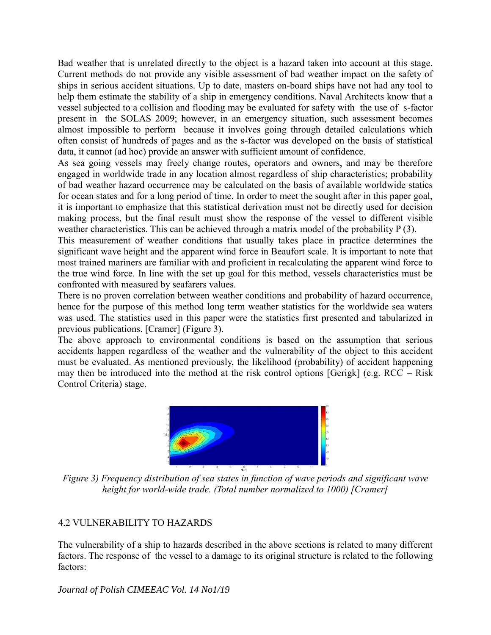Bad weather that is unrelated directly to the object is a hazard taken into account at this stage. Current methods do not provide any visible assessment of bad weather impact on the safety of ships in serious accident situations. Up to date, masters on-board ships have not had any tool to help them estimate the stability of a ship in emergency conditions. Naval Architects know that a vessel subjected to a collision and flooding may be evaluated for safety with the use of s-factor present in the SOLAS 2009; however, in an emergency situation, such assessment becomes almost impossible to perform because it involves going through detailed calculations which often consist of hundreds of pages and as the s-factor was developed on the basis of statistical data, it cannot (ad hoc) provide an answer with sufficient amount of confidence.

As sea going vessels may freely change routes, operators and owners, and may be therefore engaged in worldwide trade in any location almost regardless of ship characteristics; probability of bad weather hazard occurrence may be calculated on the basis of available worldwide statics for ocean states and for a long period of time. In order to meet the sought after in this paper goal, it is important to emphasize that this statistical derivation must not be directly used for decision making process, but the final result must show the response of the vessel to different visible weather characteristics. This can be achieved through a matrix model of the probability P (3).

This measurement of weather conditions that usually takes place in practice determines the significant wave height and the apparent wind force in Beaufort scale. It is important to note that most trained mariners are familiar with and proficient in recalculating the apparent wind force to the true wind force. In line with the set up goal for this method, vessels characteristics must be confronted with measured by seafarers values.

There is no proven correlation between weather conditions and probability of hazard occurrence, hence for the purpose of this method long term weather statistics for the worldwide sea waters was used. The statistics used in this paper were the statistics first presented and tabularized in previous publications. [Cramer] (Figure 3).

The above approach to environmental conditions is based on the assumption that serious accidents happen regardless of the weather and the vulnerability of the object to this accident must be evaluated. As mentioned previously, the likelihood (probability) of accident happening may then be introduced into the method at the risk control options [Gerigk] (e.g. RCC – Risk Control Criteria) stage.



*Figure 3) Frequency distribution of sea states in function of wave periods and significant wave height for world-wide trade. (Total number normalized to 1000) [Cramer]*

# 4.2 VULNERABILITY TO HAZARDS

The vulnerability of a ship to hazards described in the above sections is related to many different factors. The response of the vessel to a damage to its original structure is related to the following factors: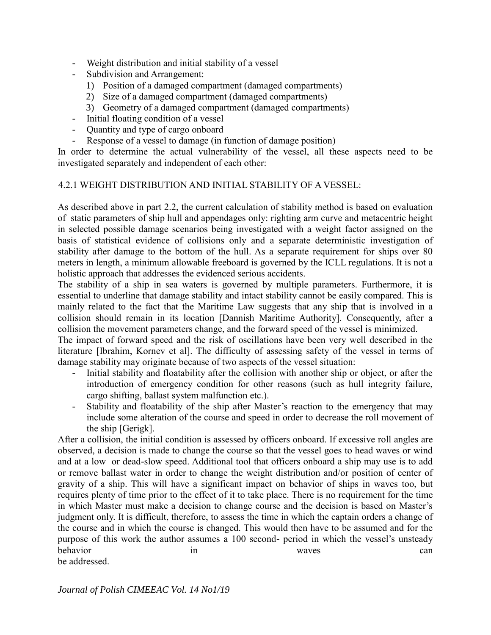- Weight distribution and initial stability of a vessel
- Subdivision and Arrangement:
	- 1) Position of a damaged compartment (damaged compartments)
	- 2) Size of a damaged compartment (damaged compartments)
	- 3) Geometry of a damaged compartment (damaged compartments)
- Initial floating condition of a vessel
- Quantity and type of cargo onboard
- Response of a vessel to damage (in function of damage position)

In order to determine the actual vulnerability of the vessel, all these aspects need to be investigated separately and independent of each other:

#### 4.2.1 WEIGHT DISTRIBUTION AND INITIAL STABILITY OF A VESSEL:

As described above in part 2.2, the current calculation of stability method is based on evaluation of static parameters of ship hull and appendages only: righting arm curve and metacentric height in selected possible damage scenarios being investigated with a weight factor assigned on the basis of statistical evidence of collisions only and a separate deterministic investigation of stability after damage to the bottom of the hull. As a separate requirement for ships over 80 meters in length, a minimum allowable freeboard is governed by the ICLL regulations. It is not a holistic approach that addresses the evidenced serious accidents.

The stability of a ship in sea waters is governed by multiple parameters. Furthermore, it is essential to underline that damage stability and intact stability cannot be easily compared. This is mainly related to the fact that the Maritime Law suggests that any ship that is involved in a collision should remain in its location [Dannish Maritime Authority]. Consequently, after a collision the movement parameters change, and the forward speed of the vessel is minimized.

The impact of forward speed and the risk of oscillations have been very well described in the literature [Ibrahim, Kornev et al]. The difficulty of assessing safety of the vessel in terms of damage stability may originate because of two aspects of the vessel situation:

- Initial stability and floatability after the collision with another ship or object, or after the introduction of emergency condition for other reasons (such as hull integrity failure, cargo shifting, ballast system malfunction etc.).
- Stability and floatability of the ship after Master's reaction to the emergency that may include some alteration of the course and speed in order to decrease the roll movement of the ship [Gerigk].

After a collision, the initial condition is assessed by officers onboard. If excessive roll angles are observed, a decision is made to change the course so that the vessel goes to head waves or wind and at a low or dead-slow speed. Additional tool that officers onboard a ship may use is to add or remove ballast water in order to change the weight distribution and/or position of center of gravity of a ship. This will have a significant impact on behavior of ships in waves too, but requires plenty of time prior to the effect of it to take place. There is no requirement for the time in which Master must make a decision to change course and the decision is based on Master's judgment only. It is difficult, therefore, to assess the time in which the captain orders a change of the course and in which the course is changed. This would then have to be assumed and for the purpose of this work the author assumes a 100 second- period in which the vessel's unsteady behavior in waves can be addressed.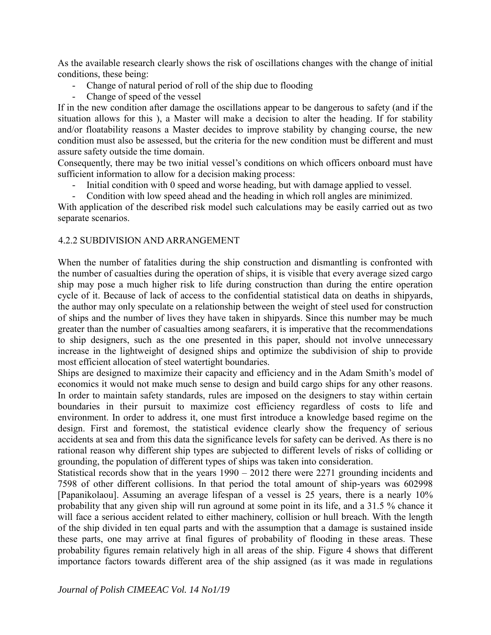As the available research clearly shows the risk of oscillations changes with the change of initial conditions, these being:

- Change of natural period of roll of the ship due to flooding
- Change of speed of the vessel

If in the new condition after damage the oscillations appear to be dangerous to safety (and if the situation allows for this ), a Master will make a decision to alter the heading. If for stability and/or floatability reasons a Master decides to improve stability by changing course, the new condition must also be assessed, but the criteria for the new condition must be different and must assure safety outside the time domain.

Consequently, there may be two initial vessel's conditions on which officers onboard must have sufficient information to allow for a decision making process:

- Initial condition with 0 speed and worse heading, but with damage applied to vessel.
- Condition with low speed ahead and the heading in which roll angles are minimized.

With application of the described risk model such calculations may be easily carried out as two separate scenarios.

### 4.2.2 SUBDIVISION AND ARRANGEMENT

When the number of fatalities during the ship construction and dismantling is confronted with the number of casualties during the operation of ships, it is visible that every average sized cargo ship may pose a much higher risk to life during construction than during the entire operation cycle of it. Because of lack of access to the confidential statistical data on deaths in shipyards, the author may only speculate on a relationship between the weight of steel used for construction of ships and the number of lives they have taken in shipyards. Since this number may be much greater than the number of casualties among seafarers, it is imperative that the recommendations to ship designers, such as the one presented in this paper, should not involve unnecessary increase in the lightweight of designed ships and optimize the subdivision of ship to provide most efficient allocation of steel watertight boundaries.

Ships are designed to maximize their capacity and efficiency and in the Adam Smith's model of economics it would not make much sense to design and build cargo ships for any other reasons. In order to maintain safety standards, rules are imposed on the designers to stay within certain boundaries in their pursuit to maximize cost efficiency regardless of costs to life and environment. In order to address it, one must first introduce a knowledge based regime on the design. First and foremost, the statistical evidence clearly show the frequency of serious accidents at sea and from this data the significance levels for safety can be derived. As there is no rational reason why different ship types are subjected to different levels of risks of colliding or grounding, the population of different types of ships was taken into consideration.

Statistical records show that in the years 1990 – 2012 there were 2271 grounding incidents and 7598 of other different collisions. In that period the total amount of ship-years was 602998 [Papanikolaou]. Assuming an average lifespan of a vessel is 25 years, there is a nearly 10% probability that any given ship will run aground at some point in its life, and a 31.5 % chance it will face a serious accident related to either machinery, collision or hull breach. With the length of the ship divided in ten equal parts and with the assumption that a damage is sustained inside these parts, one may arrive at final figures of probability of flooding in these areas. These probability figures remain relatively high in all areas of the ship. Figure 4 shows that different importance factors towards different area of the ship assigned (as it was made in regulations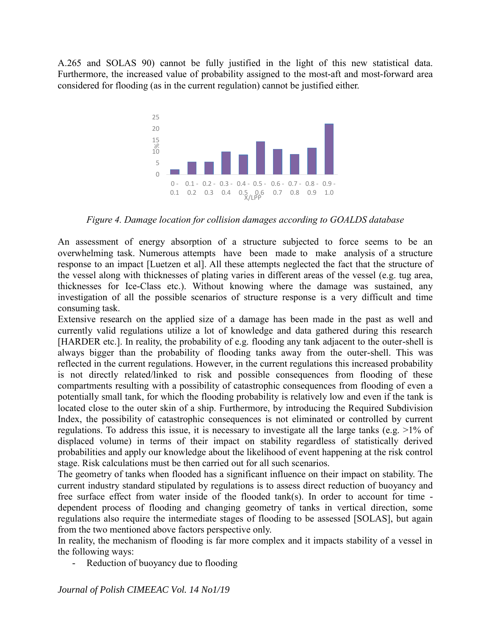A.265 and SOLAS 90) cannot be fully justified in the light of this new statistical data. Furthermore, the increased value of probability assigned to the most-aft and most-forward area considered for flooding (as in the current regulation) cannot be justified either.



*Figure 4. Damage location for collision damages according to GOALDS database* 

An assessment of energy absorption of a structure subjected to force seems to be an overwhelming task. Numerous attempts have been made to make analysis of a structure response to an impact [Luetzen et al]. All these attempts neglected the fact that the structure of the vessel along with thicknesses of plating varies in different areas of the vessel (e.g. tug area, thicknesses for Ice-Class etc.). Without knowing where the damage was sustained, any investigation of all the possible scenarios of structure response is a very difficult and time consuming task.

Extensive research on the applied size of a damage has been made in the past as well and currently valid regulations utilize a lot of knowledge and data gathered during this research [HARDER etc.]. In reality, the probability of e.g. flooding any tank adjacent to the outer-shell is always bigger than the probability of flooding tanks away from the outer-shell. This was reflected in the current regulations. However, in the current regulations this increased probability is not directly related/linked to risk and possible consequences from flooding of these compartments resulting with a possibility of catastrophic consequences from flooding of even a potentially small tank, for which the flooding probability is relatively low and even if the tank is located close to the outer skin of a ship. Furthermore, by introducing the Required Subdivision Index, the possibility of catastrophic consequences is not eliminated or controlled by current regulations. To address this issue, it is necessary to investigate all the large tanks (e.g. >1% of displaced volume) in terms of their impact on stability regardless of statistically derived probabilities and apply our knowledge about the likelihood of event happening at the risk control stage. Risk calculations must be then carried out for all such scenarios.

The geometry of tanks when flooded has a significant influence on their impact on stability. The current industry standard stipulated by regulations is to assess direct reduction of buoyancy and free surface effect from water inside of the flooded tank(s). In order to account for time dependent process of flooding and changing geometry of tanks in vertical direction, some regulations also require the intermediate stages of flooding to be assessed [SOLAS], but again from the two mentioned above factors perspective only.

In reality, the mechanism of flooding is far more complex and it impacts stability of a vessel in the following ways:

- Reduction of buoyancy due to flooding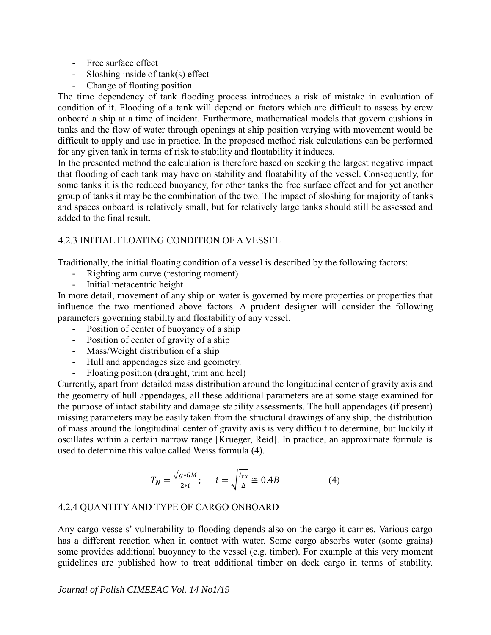- Free surface effect
- Sloshing inside of  $tank(s)$  effect
- Change of floating position

The time dependency of tank flooding process introduces a risk of mistake in evaluation of condition of it. Flooding of a tank will depend on factors which are difficult to assess by crew onboard a ship at a time of incident. Furthermore, mathematical models that govern cushions in tanks and the flow of water through openings at ship position varying with movement would be difficult to apply and use in practice. In the proposed method risk calculations can be performed for any given tank in terms of risk to stability and floatability it induces.

In the presented method the calculation is therefore based on seeking the largest negative impact that flooding of each tank may have on stability and floatability of the vessel. Consequently, for some tanks it is the reduced buoyancy, for other tanks the free surface effect and for yet another group of tanks it may be the combination of the two. The impact of sloshing for majority of tanks and spaces onboard is relatively small, but for relatively large tanks should still be assessed and added to the final result.

# 4.2.3 INITIAL FLOATING CONDITION OF A VESSEL

Traditionally, the initial floating condition of a vessel is described by the following factors:

- Righting arm curve (restoring moment)
- Initial metacentric height

In more detail, movement of any ship on water is governed by more properties or properties that influence the two mentioned above factors. A prudent designer will consider the following parameters governing stability and floatability of any vessel.

- Position of center of buoyancy of a ship
- Position of center of gravity of a ship
- Mass/Weight distribution of a ship
- Hull and appendages size and geometry.
- Floating position (draught, trim and heel)

Currently, apart from detailed mass distribution around the longitudinal center of gravity axis and the geometry of hull appendages, all these additional parameters are at some stage examined for the purpose of intact stability and damage stability assessments. The hull appendages (if present) missing parameters may be easily taken from the structural drawings of any ship, the distribution of mass around the longitudinal center of gravity axis is very difficult to determine, but luckily it oscillates within a certain narrow range [Krueger, Reid]. In practice, an approximate formula is used to determine this value called Weiss formula (4).

$$
T_N = \frac{\sqrt{g * GM}}{2 * i}; \qquad i = \sqrt{\frac{I_{xx}}{\Delta}} \cong 0.4B \tag{4}
$$

#### 4.2.4 QUANTITY AND TYPE OF CARGO ONBOARD

Any cargo vessels' vulnerability to flooding depends also on the cargo it carries. Various cargo has a different reaction when in contact with water. Some cargo absorbs water (some grains) some provides additional buoyancy to the vessel (e.g. timber). For example at this very moment guidelines are published how to treat additional timber on deck cargo in terms of stability.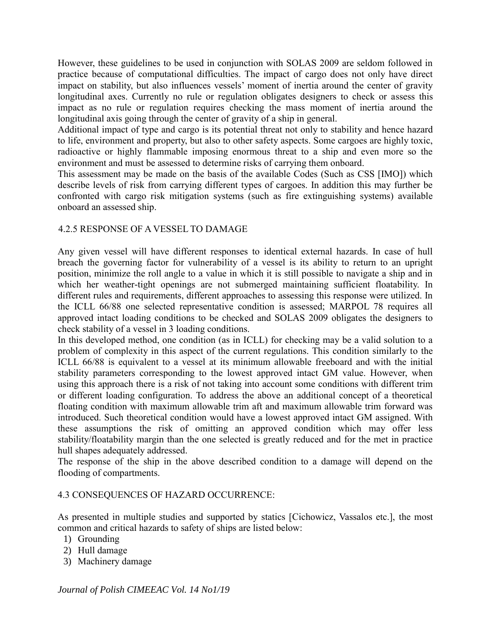However, these guidelines to be used in conjunction with SOLAS 2009 are seldom followed in practice because of computational difficulties. The impact of cargo does not only have direct impact on stability, but also influences vessels' moment of inertia around the center of gravity longitudinal axes. Currently no rule or regulation obligates designers to check or assess this impact as no rule or regulation requires checking the mass moment of inertia around the longitudinal axis going through the center of gravity of a ship in general.

Additional impact of type and cargo is its potential threat not only to stability and hence hazard to life, environment and property, but also to other safety aspects. Some cargoes are highly toxic, radioactive or highly flammable imposing enormous threat to a ship and even more so the environment and must be assessed to determine risks of carrying them onboard.

This assessment may be made on the basis of the available Codes (Such as CSS [IMO]) which describe levels of risk from carrying different types of cargoes. In addition this may further be confronted with cargo risk mitigation systems (such as fire extinguishing systems) available onboard an assessed ship.

### 4.2.5 RESPONSE OF A VESSEL TO DAMAGE

Any given vessel will have different responses to identical external hazards. In case of hull breach the governing factor for vulnerability of a vessel is its ability to return to an upright position, minimize the roll angle to a value in which it is still possible to navigate a ship and in which her weather-tight openings are not submerged maintaining sufficient floatability. In different rules and requirements, different approaches to assessing this response were utilized. In the ICLL 66/88 one selected representative condition is assessed; MARPOL 78 requires all approved intact loading conditions to be checked and SOLAS 2009 obligates the designers to check stability of a vessel in 3 loading conditions.

In this developed method, one condition (as in ICLL) for checking may be a valid solution to a problem of complexity in this aspect of the current regulations. This condition similarly to the ICLL 66/88 is equivalent to a vessel at its minimum allowable freeboard and with the initial stability parameters corresponding to the lowest approved intact GM value. However, when using this approach there is a risk of not taking into account some conditions with different trim or different loading configuration. To address the above an additional concept of a theoretical floating condition with maximum allowable trim aft and maximum allowable trim forward was introduced. Such theoretical condition would have a lowest approved intact GM assigned. With these assumptions the risk of omitting an approved condition which may offer less stability/floatability margin than the one selected is greatly reduced and for the met in practice hull shapes adequately addressed.

The response of the ship in the above described condition to a damage will depend on the flooding of compartments.

#### 4.3 CONSEQUENCES OF HAZARD OCCURRENCE:

As presented in multiple studies and supported by statics [Cichowicz, Vassalos etc.], the most common and critical hazards to safety of ships are listed below:

- 1) Grounding
- 2) Hull damage
- 3) Machinery damage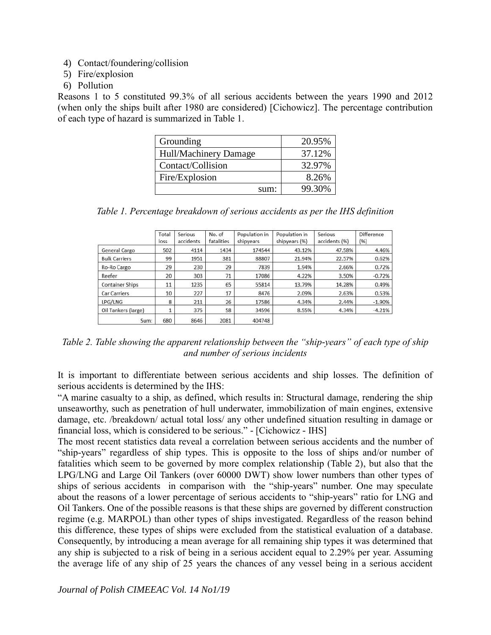- 4) Contact/foundering/collision
- 5) Fire/explosion
- 6) Pollution

Reasons 1 to 5 constituted 99.3% of all serious accidents between the years 1990 and 2012 (when only the ships built after 1980 are considered) [Cichowicz]. The percentage contribution of each type of hazard is summarized in Table 1.

| Grounding             | 20.95% |
|-----------------------|--------|
| Hull/Machinery Damage | 37.12% |
| Contact/Collision     | 32.97% |
| Fire/Explosion        | 8.26%  |
| sum:                  | 99.30% |

|  |  |  |  |  |  |  |  |  |  | Table 1. Percentage breakdown of serious accidents as per the IHS definition |
|--|--|--|--|--|--|--|--|--|--|------------------------------------------------------------------------------|
|--|--|--|--|--|--|--|--|--|--|------------------------------------------------------------------------------|

|                        | Total<br>loss | Serious<br>accidents | No. of<br>fatalities | Population in<br>shipyears | Population in<br>shipyears (%) | Serious<br>accidents (%) | Difference<br>(%) |
|------------------------|---------------|----------------------|----------------------|----------------------------|--------------------------------|--------------------------|-------------------|
| General Cargo          | 502           | 4114                 | 1434                 | 174544                     | 43.12%                         | 47.58%                   | 4.46%             |
| <b>Bulk Carriers</b>   | 99            | 1951                 | 381                  | 88807                      | 21.94%                         | 22.57%                   | 0.62%             |
| Ro-Ro Cargo            | 29            | 230                  | 29                   | 7839                       | 1.94%                          | 2.66%                    | 0.72%             |
| Reefer                 | 20            | 303                  | 71                   | 17086                      | 4.22%                          | 3.50%                    | $-0.72%$          |
| <b>Container Ships</b> | 11            | 1235                 | 65                   | 55814                      | 13.79%                         | 14.28%                   | 0.49%             |
| <b>Car Carriers</b>    | 10            | 227                  | 17                   | 8476                       | 2.09%                          | 2.63%                    | 0.53%             |
| LPG/LNG                | 8             | 211                  | 26                   | 17586                      | 4.34%                          | 2.44%                    | $-1.90%$          |
| Oil Tankers (large)    |               | 375                  | 58                   | 34596                      | 8.55%                          | 4.34%                    | $-4.21%$          |
| Sum:                   | 680           | 8646                 | 2081                 | 404748                     |                                |                          |                   |

*Table 2. Table showing the apparent relationship between the "ship-years" of each type of ship and number of serious incidents* 

It is important to differentiate between serious accidents and ship losses. The definition of serious accidents is determined by the IHS:

"A marine casualty to a ship, as defined, which results in: Structural damage, rendering the ship unseaworthy, such as penetration of hull underwater, immobilization of main engines, extensive damage, etc. /breakdown/ actual total loss/ any other undefined situation resulting in damage or financial loss, which is considered to be serious." - [Cichowicz - IHS]

The most recent statistics data reveal a correlation between serious accidents and the number of "ship-years" regardless of ship types. This is opposite to the loss of ships and/or number of fatalities which seem to be governed by more complex relationship (Table 2), but also that the LPG/LNG and Large Oil Tankers (over 60000 DWT) show lower numbers than other types of ships of serious accidents in comparison with the "ship-years" number. One may speculate about the reasons of a lower percentage of serious accidents to "ship-years" ratio for LNG and Oil Tankers. One of the possible reasons is that these ships are governed by different construction regime (e.g. MARPOL) than other types of ships investigated. Regardless of the reason behind this difference, these types of ships were excluded from the statistical evaluation of a database. Consequently, by introducing a mean average for all remaining ship types it was determined that any ship is subjected to a risk of being in a serious accident equal to 2.29% per year. Assuming the average life of any ship of 25 years the chances of any vessel being in a serious accident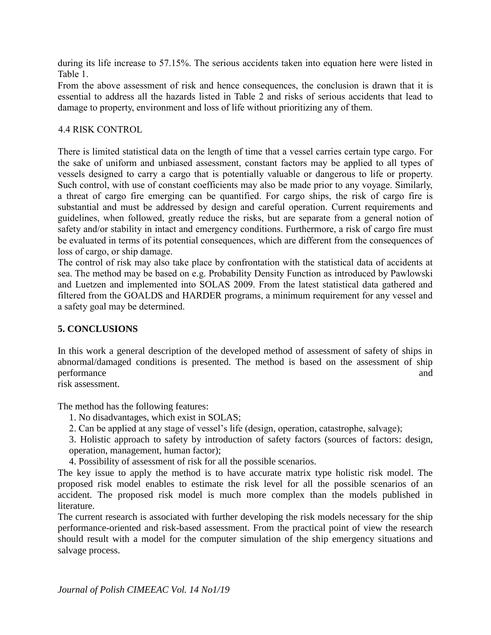during its life increase to 57.15%. The serious accidents taken into equation here were listed in Table 1.

From the above assessment of risk and hence consequences, the conclusion is drawn that it is essential to address all the hazards listed in Table 2 and risks of serious accidents that lead to damage to property, environment and loss of life without prioritizing any of them.

### 4.4 RISK CONTROL

There is limited statistical data on the length of time that a vessel carries certain type cargo. For the sake of uniform and unbiased assessment, constant factors may be applied to all types of vessels designed to carry a cargo that is potentially valuable or dangerous to life or property. Such control, with use of constant coefficients may also be made prior to any voyage. Similarly, a threat of cargo fire emerging can be quantified. For cargo ships, the risk of cargo fire is substantial and must be addressed by design and careful operation. Current requirements and guidelines, when followed, greatly reduce the risks, but are separate from a general notion of safety and/or stability in intact and emergency conditions. Furthermore, a risk of cargo fire must be evaluated in terms of its potential consequences, which are different from the consequences of loss of cargo, or ship damage.

The control of risk may also take place by confrontation with the statistical data of accidents at sea. The method may be based on e.g. Probability Density Function as introduced by Pawlowski and Luetzen and implemented into SOLAS 2009. From the latest statistical data gathered and filtered from the GOALDS and HARDER programs, a minimum requirement for any vessel and a safety goal may be determined.

# **5. CONCLUSIONS**

In this work a general description of the developed method of assessment of safety of ships in abnormal/damaged conditions is presented. The method is based on the assessment of ship performance and  $\alpha$ 

risk assessment.

The method has the following features:

- 1. No disadvantages, which exist in SOLAS;
- 2. Can be applied at any stage of vessel's life (design, operation, catastrophe, salvage);
- 3. Holistic approach to safety by introduction of safety factors (sources of factors: design, operation, management, human factor);
- 4. Possibility of assessment of risk for all the possible scenarios.

The key issue to apply the method is to have accurate matrix type holistic risk model. The proposed risk model enables to estimate the risk level for all the possible scenarios of an accident. The proposed risk model is much more complex than the models published in literature.

The current research is associated with further developing the risk models necessary for the ship performance-oriented and risk-based assessment. From the practical point of view the research should result with a model for the computer simulation of the ship emergency situations and salvage process.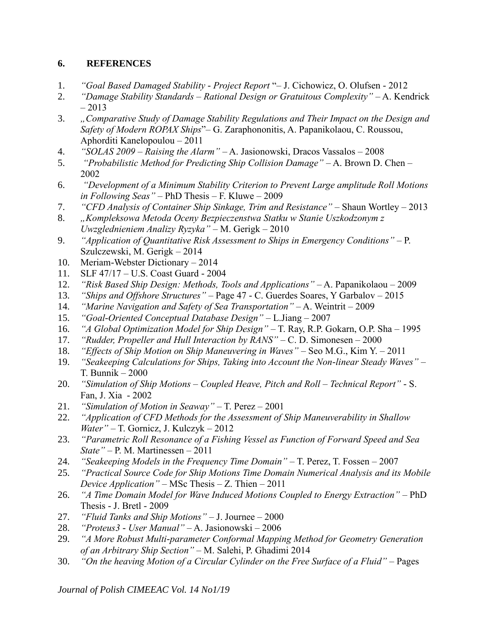# **6. REFERENCES**

- 1. *"Goal Based Damaged Stability - Project Report* "– J. Cichowicz, O. Olufsen 2012
- 2. *"Damage Stability Standards – Rational Design or Gratuitous Complexity"* A. Kendrick  $-2013$
- 3. *"Comparative Study of Damage Stability Regulations and Their Impact on the Design and Safety of Modern ROPAX Ships*"– G. Zaraphononitis, A. Papanikolaou, C. Roussou, Aphorditi Kanelopoulou – 2011
- 4. *"SOLAS 2009 – Raising the Alarm"* A. Jasionowski, Dracos Vassalos 2008
- 5. *"Probabilistic Method for Predicting Ship Collision Damage"* A. Brown D. Chen 2002
- 6. *"Development of a Minimum Stability Criterion to Prevent Large amplitude Roll Motions in Following Seas"* – PhD Thesis – F. Kluwe – 2009
- 7. *"CFD Analysis of Container Ship Sinkage, Trim and Resistance"* Shaun Wortley 2013
- 8. *"Kompleksowa Metoda Oceny Bezpieczenstwa Statku w Stanie Uszkodzonym z Uwzglednieniem Analizy Ryzyka"* – M. Gerigk – 2010
- 9. *"Application of Quantitative Risk Assessment to Ships in Emergency Conditions"* P. Szulczewski, M. Gerigk – 2014
- 10. Meriam-Webster Dictionary 2014
- 11. SLF 47/17 U.S. Coast Guard 2004
- 12. *"Risk Based Ship Design: Methods, Tools and Applications"* A. Papanikolaou 2009
- 13. *"Ships and Offshore Structures"* Page 47 C. Guerdes Soares, Y Garbalov 2015
- 14. *"Marine Navigation and Safety of Sea Transportation"* A. Weintrit 2009
- 15. *"Goal-Oriented Conceptual Database Design"* L.Jiang 2007
- 16. *"A Global Optimization Model for Ship Design"* T. Ray, R.P. Gokarn, O.P. Sha 1995
- 17. *"Rudder, Propeller and Hull Interaction by RANS"* C. D. Simonesen 2000
- 18. *"Effects of Ship Motion on Ship Maneuvering in Waves"* Seo M.G., Kim Y. 2011
- 19. *"Seakeeping Calculations for Ships, Taking into Account the Non-linear Steady Waves"* T. Bunnik – 2000
- 20. *"Simulation of Ship Motions – Coupled Heave, Pitch and Roll – Technical Report"*  S. Fan, J. Xia - 2002
- 21. *"Simulation of Motion in Seaway"* T. Perez 2001
- 22. *"Application of CFD Methods for the Assessment of Ship Maneuverability in Shallow Water"* – T. Gornicz, J. Kulczyk – 2012
- 23. *"Parametric Roll Resonance of a Fishing Vessel as Function of Forward Speed and Sea State"* – P. M. Martinessen – 2011
- 24. *"Seakeeping Models in the Frequency Time Domain"* T. Perez, T. Fossen 2007
- 25. *"Practical Source Code for Ship Motions Time Domain Numerical Analysis and its Mobile Device Application"* – MSc Thesis – Z. Thien – 2011
- 26. *"A Time Domain Model for Wave Induced Motions Coupled to Energy Extraction"* PhD Thesis - J. Bretl - 2009
- 27. *"Fluid Tanks and Ship Motions"* J. Journee 2000
- 28. *"Proteus3 - User Manual"* A. Jasionowski 2006
- 29. *"A More Robust Multi-parameter Conformal Mapping Method for Geometry Generation of an Arbitrary Ship Section"* – M. Salehi, P. Ghadimi 2014
- 30. *"On the heaving Motion of a Circular Cylinder on the Free Surface of a Fluid"* Pages